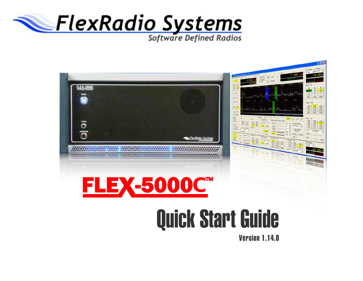

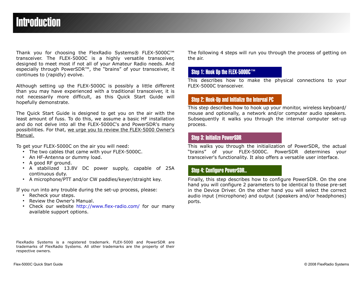# Introduction

Thank you for choosing the FlexRadio Systems® FLEX-5000C™ transceiver. The FLEX-5000C is a highly versatile transceiver, designed to meet most if not all of your Amateur Radio needs. And especially through PowerSDR™, the "brains" of your transceiver, it continues to (rapidly) evolve.

Although setting up the FLEX-5000C is possibly a little different than you may have experienced with a traditional transceiver, it is not necessarily more difficult, as this Quick Start Guide will hopefully demonstrate.

The Quick Start Guide is designed to get you on the air with the least amount of fuss. To do this, we assume a basic HF installation and do not delve into all the FLEX-5000C's and PowerSDR's many possibilities. For that, we urge you to review the FLEX-5000 Owner's Manual.

To get your FLEX-5000C on the air you will need:

- The two cables that came with your FLEX-5000C.
- An HF-Antenna or dummy load.
- A good RF ground.
- A stabilized 13.8V DC power supply, capable of 25A continuous duty.
- A microphone/PTT and/or CW paddles/keyer/straight key.

If you run into any trouble during the set-up process, please:

- Recheck your steps.
- Review the Owner's Manual.
- Check our website <http://www.flex-radio.com/>for our many available support options.

The following 4 steps will run you through the process of getting on the air.

# Step 1: Hook Up the FLEX-5000C™

This describes how to make the physical connections to your FLEX-5000C transceiver.

# Step 2: Hook-Up and Initialize the Internal PC

This step describes how to hook up your monitor, wireless keyboard/ mouse and optionally, a network and/or computer audio speakers. Subsequently it walks you through the internal computer set-up process.

# Step 3: Initialize PowerSDR

This walks you through the initialization of PowerSDR, the actual "brains" of your FLEX-5000C. PowerSDR determines your transceiver's functionality. It also offers a versatile user interface.

# Step 4: Configure PowerSDR..

Finally, this step describes how to configure PowerSDR. On the one hand you will configure 2 parameters to be identical to those pre-set in the Device Driver. On the other hand you will select the correct audio input (microphone) and output (speakers and/or headphones) ports.

FlexRadio Systems is a registered trademark. FLEX-5000 and PowerSDR are trademarks of FlexRadio Systems. All other trademarks are the property of their respective owners.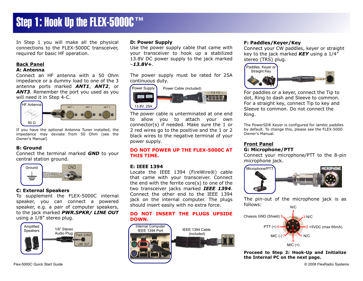# Step 1: Hook Up the FLEX-5000C™

In Step 1 you will make all the physical connections to the FLEX-5000C transceiver, required for basic HF operation.

# **Back Panel**

### **A: Antenna**

Connect an HF antenna with a 50 Ohm impedance or a dummy load to one of the 3 antenna ports marked *ANT1*, *ANT2*, or **ANT3**. Remember the port you used as you will need it in Step 4-C.



If you have the optional Antenna Tuner installed, the impedance may deviate from 50 Ohm (see the Owner's Manual)

## **B: Ground**

Connect the terminal marked *GND* to your central station ground.



## **C: External Speakers**

To supplement the FLEX-5000C internal speaker, you can connect a powered speaker, e.g. a pair of computer speakers, to the jack marked *PWR.SPKR/ LINE OUT* using a 1/8" stereo plug.



#### Flex-5000C Quick Start Guide © 2008 FlexRadio Systems

#### **D: Power Supply**

Use the power supply cable that came with your transceiver to hook up a stabilized 13.8V DC power supply to the jack marked –*13.8V+*.

The power supply must be rated for 25A continuous duty.



The power cable is unterminated at one end to allow you to attach your own connector(s) if needed. Make sure the 1 or 2 red wires go to the positive and the 1 or 2 black wires to the negative terminal of your power supply.

#### **DO NOT POWER UP THE FLEX-5000C AT THIS TIME.**

#### **E: IEEE 1394**

Locate the IEEE 1394 (FireWire®) cable that came with your transceiver. Connect the end with the ferrite core(s) to one of the two transceiver jacks marked *IEEE 1394*. Connect the other end to the IEEE 1394 jack on the internal computer. The plugs should insert easily with no extra force.

### **DO NOT INSERT THE PLUGS UPSIDE DOWN.**



## **F: Paddles/Keyer/Key**

Connect your CW paddles, keyer or straight key to the jack marked *KEY* using a 1/4" stereo (TRS) plug.



For paddles or a keyer, connect the Tip to dot, Ring to dash and Sleeve to common. For a straight key, connect Tip to key and Sleeve to common. Do not connect the Ring.

The PowerSDR Keyer is configured for iambic paddles by default. To change this, please see the FLEX-5000 Owner's Manual.

#### **Front Panel G: Microphone/PTT**

Connect your microphone/PTT to the 8-pin microphone jack.



The pin-out of the microphone jack is as follows: N/C



**Proceed to Step 2: Hook-Up and Initialize the Internal PC on the next page.**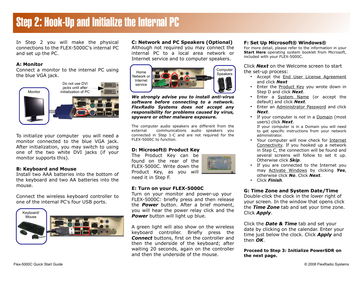# Step 2: Hook-Up and Initialize the Internal PC

In Step 2 you will make the physical connections to the FLEX-5000C's internal PC and set up the PC.

### **A: Monitor**

Connect a monitor to the internal PC using the blue VGA jack.



To initialize your computer you will need a monitor connected to the blue VGA jack. After initialization, you may switch to using one of the two white DVI jacks (if your monitor supports this).

### **B: Keyboard and Mouse**

Install two AAA batteries into the bottom of the keyboard and two AA batteries into the mouse.

Connect the wireless keyboard controller to one of the internal PC's four USB ports.



#### **C: Network and PC Speakers (Optional)**

Although not required you may connect the internal PC to a local area network or Internet service and to computer speakers.



*We strongly advise you to install anti-virus software before connecting to a network. FlexRadio Systems does not accept any responsibility for problems caused by virus, spyware or other malware exposure.*

The computer audio speakers are different from the external communications audio speakers you connected in Step 1-C and are not required for the FLEX-5000C to function.

### **D: Microsoft® Product Key**

The Product Key can be found on the rear of the FLEX-5000C. Write down the Product Key, as you will need it in Step F.



#### **E: Turn on your FLEX-5000C**

Turn on your monitor and power-up your FLEX-5000C: briefly press and then release the *Power* button. After a brief moment, you will hear the power relay click and the **Power** button will light up blue.

A green light will also show on the wireless keyboard controller. Briefly press the *Connect* buttons, first on the controller and then the underside of the keyboard; after waiting 20 seconds, again on the controller and then the underside of the mouse.

### **F: Set Up Microsoft® Windows®**

For more detail, please refer to the information in your **Start Here** operating system booklet from Microsoft, included with your FLEX-5000C.

Click *Next* on the Welcome screen to start the set-up process:

- Accept the **End User License Agreement** and click *Next*
- Enter the Product Key you wrote down in Step D and click *Next*.
- Enter a System Name (or accept the default) and click *Next*.
- Enter an Administrator Password and click *Next*.
- If your computer is *not* in a Domain (most users) click *Next*.
	- If your computer is in a Domain you will need to get specific instructions from your network administrator.
- Your computer will now check for Internet Connectivity. If you hooked up a network in Step C, the connection will be found and several screens will follow to set it up. Otherwise click *Skip*.
- If you are connected to the Internet you may Activate Windows by clicking *Yes*, otherwise click *No*. Click *Next*.
- Click *Finish*.

#### **G: Time Zone and System Date/Time**

Double-click the clock in the lower right of your screen. In the window that opens click the *Time Zone* tab and set your time zone. Click *Apply*.

Click the *Date & Time* tab and set your date by clicking on the calendar. Enter your time just below the clock. Click *Apply* and then *OK*.

#### **Proceed to Step 3: Initialize PowerSDR on the next page.**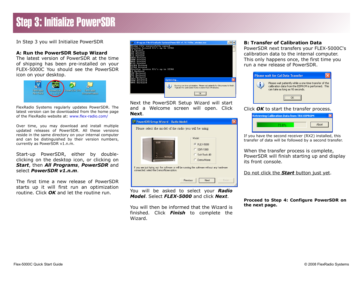# Step 3: Initialize PowerSDR

In Step 3 you will Initialize PowerSDR

### **A: Run the PowerSDR Setup Wizard**

The latest version of PowerSDR at the time of shipping has been pre-installed on your FLEX-5000C You should see the PowerSDR icon on your desktop.



FlexRadio Systems regularly updates PowerSDR. The latest version can be downloaded from the home page of the FlexRadio website at: [www.flex-radio.com/](http://www.flex-radio.com/)

Over time, you may download and install multiple updated releases of PowerSDR. All these versions reside in the same directory on your internal computer and can be distinguished by their version numbers, currently as PowerSDR v1.n.m.

Start-up PowerSDR, either by doubleclicking on the desktop icon, or clicking on *Start*, then *All Programs*, *PowerSDR* and select *PowerSDR v1.n.m*.

The first time a new release of PowerSDR starts up it will first run an optimization routine. Click *OK* and let the routine run.

|                                                                                                                                                                                                                                                                                                                                                          | on C:\Program Files\FlexRadio Systems\PowerSDR v1.10.1\fftw wisdom.exe                                                                                       |  |
|----------------------------------------------------------------------------------------------------------------------------------------------------------------------------------------------------------------------------------------------------------------------------------------------------------------------------------------------------------|--------------------------------------------------------------------------------------------------------------------------------------------------------------|--|
| Wisdom file successfully opened<br>Checking forward fft's up to 32768<br>64 Forward<br>Forward<br>H 28<br>256 Forward<br>512 Forward<br>1024 Forward<br>2048 Forward<br>4096 Forward<br>8192 Forward<br>16384 Forward<br>32768 Forward<br>Checking inverse fft's up to 32768<br>64 Backward<br><b>Backward</b><br>11 2 R<br>256 Backward<br>512 Backward |                                                                                                                                                              |  |
| 1024 Backward<br>2048 Backward                                                                                                                                                                                                                                                                                                                           | Optimizing                                                                                                                                                   |  |
| 4096 Backward                                                                                                                                                                                                                                                                                                                                            | Running one time optimization. Please wait patiently for this process to finish.<br>Typically the optimization takes no more than 3-5 minutes.<br><br>OK<br> |  |

Next the PowerSDR Setup Wizard will start and a Welcome screen will open. Click **Next**.



You will be asked to select your *Radio Model*. Select *FLEX-5000* and click *Next*.

You will then be informed that the Wizard is finished. Click *Finish* to complete the Wizard.

### **B: Transfer of Calibration Data**

PowerSDR next transfers your FLEX-5000C's calibration data to the internal computer. This only happens once, the first time you run a new release of PowerSDR.



Click *OK* to start the transfer process.

| <b>Retrieving Calibration Data from TRX EEPROM</b> |       |  |
|----------------------------------------------------|-------|--|
| ле нел                                             | Abort |  |

If you have the second receiver (RX2) installed, this transfer of data will be followed by a second transfer.

When the transfer process is complete, PowerSDR will finish starting up and display its front console.

Do not click the *Start* button just yet.

**Proceed to Step 4: Configure PowerSDR on the next page.**